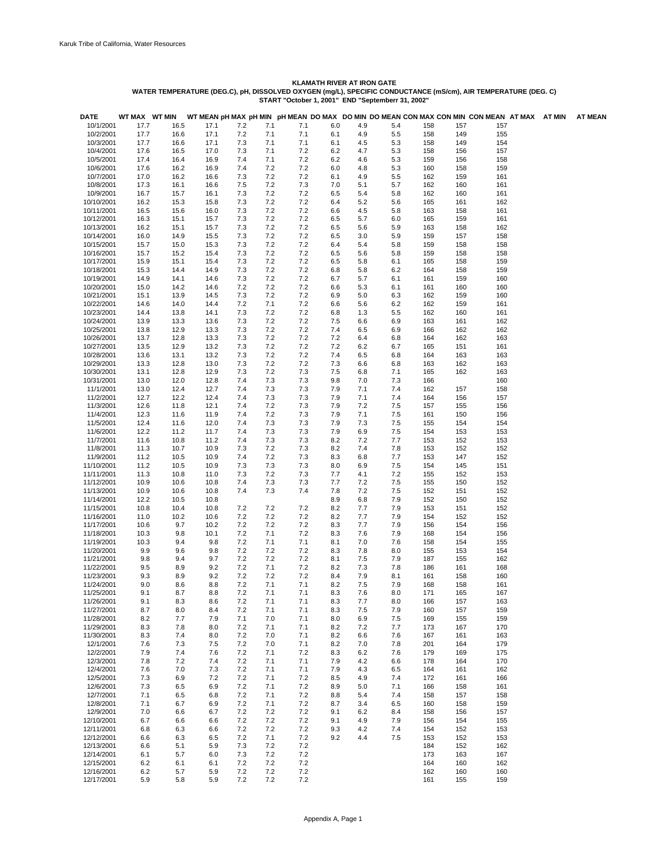| <b>DATE</b>              | WT MAX WT MIN |              |              |            |            |            |            |            |            |            |            | WT MEAN pH MAX pH MIN pH MEAN DO MAX DO MIN DO MEAN CON MAX CON MIN CON MEAN AT MAX AT MIN |  | <b>AT MEAN</b> |
|--------------------------|---------------|--------------|--------------|------------|------------|------------|------------|------------|------------|------------|------------|--------------------------------------------------------------------------------------------|--|----------------|
| 10/1/2001                | 17.7          | 16.5         | 17.1         | 7.2        | 7.1        | 7.1        | 6.0        | 4.9        | 5.4        | 158        | 157        | 157                                                                                        |  |                |
| 10/2/2001                | 17.7          | 16.6         | 17.1         | 7.2        | 7.1        | 7.1        | 6.1        | 4.9        | 5.5        | 158        | 149        | 155                                                                                        |  |                |
| 10/3/2001<br>10/4/2001   | 17.7<br>17.6  | 16.6<br>16.5 | 17.1<br>17.0 | 7.3<br>7.3 | 7.1<br>7.1 | 7.1<br>7.2 | 6.1<br>6.2 | 4.5<br>4.7 | 5.3<br>5.3 | 158<br>158 | 149<br>156 | 154<br>157                                                                                 |  |                |
| 10/5/2001                | 17.4          | 16.4         | 16.9         | 7.4        | 7.1        | 7.2        | 6.2        | 4.6        | 5.3        | 159        | 156        | 158                                                                                        |  |                |
| 10/6/2001                | 17.6          | 16.2         | 16.9         | 7.4        | 7.2        | 7.2        | 6.0        | 4.8        | 5.3        | 160        | 158        | 159                                                                                        |  |                |
| 10/7/2001                | 17.0          | 16.2         | 16.6         | 7.3        | 7.2        | 7.2        | 6.1        | 4.9        | 5.5        | 162        | 159        | 161                                                                                        |  |                |
| 10/8/2001                | 17.3          | 16.1         | 16.6         | 7.5        | 7.2        | 7.3        | 7.0        | 5.1        | 5.7        | 162        | 160        | 161                                                                                        |  |                |
| 10/9/2001                | 16.7          | 15.7         | 16.1         | 7.3        | 7.2        | 7.2        | 6.5        | 5.4        | 5.8        | 162        | 160        | 161                                                                                        |  |                |
| 10/10/2001               | 16.2          | 15.3         | 15.8         | 7.3        | 7.2        | 7.2        | 6.4        | 5.2        | 5.6        | 165        | 161        | 162                                                                                        |  |                |
| 10/11/2001               | 16.5          | 15.6         | 16.0         | 7.3        | 7.2        | 7.2        | 6.6        | 4.5        | 5.8        | 163        | 158        | 161                                                                                        |  |                |
| 10/12/2001               | 16.3          | 15.1         | 15.7         | 7.3        | 7.2        | 7.2        | 6.5        | 5.7        | 6.0        | 165        | 159        | 161                                                                                        |  |                |
| 10/13/2001               | 16.2          | 15.1         | 15.7         | 7.3        | 7.2        | 7.2        | 6.5        | 5.6        | 5.9        | 163        | 158        | 162                                                                                        |  |                |
| 10/14/2001               | 16.0          | 14.9         | 15.5         | 7.3        | 7.2        | 7.2        | 6.5        | 3.0        | 5.9        | 159        | 157        | 158                                                                                        |  |                |
| 10/15/2001<br>10/16/2001 | 15.7<br>15.7  | 15.0<br>15.2 | 15.3<br>15.4 | 7.3<br>7.3 | 7.2<br>7.2 | 7.2<br>7.2 | 6.4<br>6.5 | 5.4<br>5.6 | 5.8<br>5.8 | 159<br>159 | 158<br>158 | 158<br>158                                                                                 |  |                |
| 10/17/2001               | 15.9          | 15.1         | 15.4         | 7.3        | 7.2        | 7.2        | 6.5        | 5.8        | 6.1        | 165        | 158        | 159                                                                                        |  |                |
| 10/18/2001               | 15.3          | 14.4         | 14.9         | 7.3        | 7.2        | 7.2        | 6.8        | 5.8        | 6.2        | 164        | 158        | 159                                                                                        |  |                |
| 10/19/2001               | 14.9          | 14.1         | 14.6         | 7.3        | 7.2        | 7.2        | 6.7        | 5.7        | 6.1        | 161        | 159        | 160                                                                                        |  |                |
| 10/20/2001               | 15.0          | 14.2         | 14.6         | 7.2        | 7.2        | 7.2        | 6.6        | 5.3        | 6.1        | 161        | 160        | 160                                                                                        |  |                |
| 10/21/2001               | 15.1          | 13.9         | 14.5         | 7.3        | 7.2        | 7.2        | 6.9        | 5.0        | 6.3        | 162        | 159        | 160                                                                                        |  |                |
| 10/22/2001               | 14.6          | 14.0         | 14.4         | 7.2        | 7.1        | 7.2        | 6.6        | 5.6        | 6.2        | 162        | 159        | 161                                                                                        |  |                |
| 10/23/2001               | 14.4          | 13.8         | 14.1         | 7.3        | 7.2        | 7.2        | 6.8        | 1.3        | 5.5        | 162        | 160        | 161                                                                                        |  |                |
| 10/24/2001               | 13.9          | 13.3         | 13.6         | 7.3        | 7.2        | 7.2        | 7.5        | 6.6        | 6.9        | 163        | 161        | 162                                                                                        |  |                |
| 10/25/2001               | 13.8          | 12.9         | 13.3         | 7.3        | 7.2        | 7.2        | 7.4        | 6.5        | 6.9        | 166        | 162        | 162                                                                                        |  |                |
| 10/26/2001               | 13.7          | 12.8         | 13.3         | 7.3        | 7.2        | 7.2        | 7.2        | 6.4        | 6.8        | 164        | 162        | 163                                                                                        |  |                |
| 10/27/2001               | 13.5          | 12.9         | 13.2         | 7.3        | 7.2        | 7.2        | 7.2        | 6.2        | 6.7        | 165        | 151        | 161                                                                                        |  |                |
| 10/28/2001               | 13.6          | 13.1         | 13.2         | 7.3        | 7.2        | 7.2        | 7.4        | 6.5        | 6.8        | 164        | 163        | 163                                                                                        |  |                |
| 10/29/2001<br>10/30/2001 | 13.3<br>13.1  | 12.8<br>12.8 | 13.0<br>12.9 | 7.3<br>7.3 | 7.2<br>7.2 | 7.2<br>7.3 | 7.3<br>7.5 | 6.6<br>6.8 | 6.8<br>7.1 | 163<br>165 | 162<br>162 | 163<br>163                                                                                 |  |                |
| 10/31/2001               | 13.0          | 12.0         | 12.8         | 7.4        | 7.3        | 7.3        | 9.8        | 7.0        | 7.3        | 166        |            | 160                                                                                        |  |                |
| 11/1/2001                | 13.0          | 12.4         | 12.7         | 7.4        | 7.3        | 7.3        | 7.9        | 7.1        | 7.4        | 162        | 157        | 158                                                                                        |  |                |
| 11/2/2001                | 12.7          | 12.2         | 12.4         | 7.4        | 7.3        | 7.3        | 7.9        | 7.1        | 7.4        | 164        | 156        | 157                                                                                        |  |                |
| 11/3/2001                | 12.6          | 11.8         | 12.1         | 7.4        | 7.2        | 7.3        | 7.9        | 7.2        | 7.5        | 157        | 155        | 156                                                                                        |  |                |
| 11/4/2001                | 12.3          | 11.6         | 11.9         | 7.4        | 7.2        | 7.3        | 7.9        | 7.1        | 7.5        | 161        | 150        | 156                                                                                        |  |                |
| 11/5/2001                | 12.4          | 11.6         | 12.0         | 7.4        | 7.3        | 7.3        | 7.9        | 7.3        | 7.5        | 155        | 154        | 154                                                                                        |  |                |
| 11/6/2001                | 12.2          | 11.2         | 11.7         | 7.4        | 7.3        | 7.3        | 7.9        | 6.9        | 7.5        | 154        | 153        | 153                                                                                        |  |                |
| 11/7/2001                | 11.6          | 10.8         | 11.2         | 7.4        | 7.3        | 7.3        | 8.2        | 7.2        | 7.7        | 153        | 152        | 153                                                                                        |  |                |
| 11/8/2001                | 11.3          | 10.7         | 10.9         | 7.3        | 7.2        | 7.3        | 8.2        | 7.4        | 7.8        | 153        | 152        | 152                                                                                        |  |                |
| 11/9/2001                | 11.2          | 10.5         | 10.9         | 7.4        | 7.2        | 7.3        | 8.3        | 6.8        | 7.7        | 153        | 147        | 152                                                                                        |  |                |
| 11/10/2001               | 11.2          | 10.5         | 10.9         | 7.3        | 7.3        | 7.3        | 8.0        | 6.9        | 7.5        | 154        | 145        | 151                                                                                        |  |                |
| 11/11/2001               | 11.3          | 10.8         | 11.0         | 7.3        | 7.2        | 7.3        | 7.7        | 4.1        | 7.2        | 155        | 152        | 153                                                                                        |  |                |
| 11/12/2001               | 10.9<br>10.9  | 10.6<br>10.6 | 10.8         | 7.4<br>7.4 | 7.3<br>7.3 | 7.3        | 7.7        | 7.2        | 7.5<br>7.5 | 155        | 150        | 152<br>152                                                                                 |  |                |
| 11/13/2001<br>11/14/2001 | 12.2          | 10.5         | 10.8<br>10.8 |            |            | 7.4        | 7.8<br>8.9 | 7.2<br>6.8 | 7.9        | 152<br>152 | 151<br>150 | 152                                                                                        |  |                |
| 11/15/2001               | 10.8          | 10.4         | 10.8         | 7.2        | 7.2        | 7.2        | 8.2        | 7.7        | 7.9        | 153        | 151        | 152                                                                                        |  |                |
| 11/16/2001               | 11.0          | 10.2         | 10.6         | 7.2        | 7.2        | 7.2        | 8.2        | 7.7        | 7.9        | 154        | 152        | 152                                                                                        |  |                |
| 11/17/2001               | 10.6          | 9.7          | 10.2         | 7.2        | 7.2        | 7.2        | 8.3        | 7.7        | 7.9        | 156        | 154        | 156                                                                                        |  |                |
| 11/18/2001               | 10.3          | 9.8          | 10.1         | 7.2        | 7.1        | 7.2        | 8.3        | 7.6        | 7.9        | 168        | 154        | 156                                                                                        |  |                |
| 11/19/2001               | 10.3          | 9.4          | 9.8          | 7.2        | 7.1        | 7.1        | 8.1        | 7.0        | 7.6        | 158        | 154        | 155                                                                                        |  |                |
| 11/20/2001               | 9.9           | 9.6          | 9.8          | 7.2        | 7.2        | 7.2        | 8.3        | 7.8        | 8.0        | 155        | 153        | 154                                                                                        |  |                |
| 11/21/2001               | 9.8           | 9.4          | 9.7          | 7.2        | 7.2        | 7.2        | 8.1        | 7.5        | 7.9        | 187        | 155        | 162                                                                                        |  |                |
| 11/22/2001               | 9.5           | 8.9          | 9.2          | 7.2        | 7.1        | 7.2        | 8.2        | 7.3        | 7.8        | 186        | 161        | 168                                                                                        |  |                |
| 11/23/2001               | 9.3           | 8.9          | 9.2          | 7.2        | 7.2        | 7.2        | 8.4        | 7.9        | 8.1        | 161        | 158        | 160                                                                                        |  |                |
| 11/24/2001               | 9.0           | 8.6          | 8.8          | 7.2        | 7.1        | 7.1        | 8.2        | 7.5        | 7.9        | 168        | 158        | 161                                                                                        |  |                |
| 11/25/2001               | 9.1<br>9.1    | 8.7          | 8.8<br>8.6   | 7.2<br>7.2 | 7.1        | 7.1<br>7.1 | 8.3<br>8.3 | 7.6        | 8.0<br>8.0 | 171<br>166 | 165<br>157 | 167                                                                                        |  |                |
| 11/26/2001<br>11/27/2001 | 8.7           | 8.3<br>8.0   | 8.4          | 7.2        | 7.1<br>7.1 | 7.1        | 8.3        | 7.7<br>7.5 | 7.9        | 160        | 157        | 163<br>159                                                                                 |  |                |
| 11/28/2001               | 8.2           | 7.7          | 7.9          | 7.1        | 7.0        | 7.1        | 8.0        | 6.9        | 7.5        | 169        | 155        | 159                                                                                        |  |                |
| 11/29/2001               | 8.3           | 7.8          | 8.0          | 7.2        | 7.1        | 7.1        | 8.2        | 7.2        | 7.7        | 173        | 167        | 170                                                                                        |  |                |
| 11/30/2001               | 8.3           | 7.4          | 8.0          | 7.2        | 7.0        | 7.1        | 8.2        | 6.6        | 7.6        | 167        | 161        | 163                                                                                        |  |                |
| 12/1/2001                | 7.6           | 7.3          | 7.5          | 7.2        | 7.0        | 7.1        | 8.2        | 7.0        | 7.8        | 201        | 164        | 179                                                                                        |  |                |
| 12/2/2001                | 7.9           | 7.4          | 7.6          | 7.2        | 7.1        | 7.2        | 8.3        | 6.2        | 7.6        | 179        | 169        | 175                                                                                        |  |                |
| 12/3/2001                | 7.8           | 7.2          | 7.4          | 7.2        | 7.1        | 7.1        | 7.9        | 4.2        | 6.6        | 178        | 164        | 170                                                                                        |  |                |
| 12/4/2001                | 7.6           | 7.0          | 7.3          | 7.2        | 7.1        | 7.1        | 7.9        | 4.3        | 6.5        | 164        | 161        | 162                                                                                        |  |                |
| 12/5/2001                | 7.3           | 6.9          | 7.2          | 7.2        | 7.1        | 7.2        | 8.5        | 4.9        | 7.4        | 172        | 161        | 166                                                                                        |  |                |
| 12/6/2001                | 7.3           | 6.5          | 6.9          | 7.2        | 7.1        | 7.2        | 8.9        | 5.0        | 7.1        | 166        | 158        | 161                                                                                        |  |                |
| 12/7/2001                | 7.1           | 6.5          | 6.8          | 7.2        | 7.1        | 7.2        | 8.8        | 5.4        | 7.4        | 158        | 157        | 158                                                                                        |  |                |
| 12/8/2001                | 7.1           | 6.7          | 6.9          | 7.2        | 7.1        | 7.2        | 8.7        | 3.4        | 6.5        | 160        | 158        | 159                                                                                        |  |                |
| 12/9/2001                | 7.0           | 6.6          | 6.7          | 7.2        | 7.2        | 7.2        | 9.1        | 6.2        | 8.4        | 158        | 156        | 157                                                                                        |  |                |
| 12/10/2001               | 6.7           | 6.6          | 6.6          | 7.2        | 7.2        | 7.2        | 9.1        | 4.9        | 7.9        | 156        | 154        | 155                                                                                        |  |                |
| 12/11/2001<br>12/12/2001 | 6.8<br>6.6    | 6.3<br>6.3   | 6.6<br>6.5   | 7.2<br>7.2 | 7.2<br>7.1 | 7.2<br>7.2 | 9.3<br>9.2 | 4.2<br>4.4 | 7.4<br>7.5 | 154<br>153 | 152<br>152 | 153<br>153                                                                                 |  |                |
| 12/13/2001               | 6.6           | 5.1          | 5.9          | 7.3        | 7.2        | 7.2        |            |            |            | 184        | 152        | 162                                                                                        |  |                |
| 12/14/2001               | 6.1           | 5.7          | 6.0          | 7.3        | 7.2        | 7.2        |            |            |            | 173        | 163        | 167                                                                                        |  |                |
| 12/15/2001               | 6.2           | 6.1          | 6.1          | 7.2        | 7.2        | 7.2        |            |            |            | 164        | 160        | 162                                                                                        |  |                |
| 12/16/2001               | 6.2           | 5.7          | 5.9          | 7.2        | 7.2        | 7.2        |            |            |            | 162        | 160        | 160                                                                                        |  |                |
| 12/17/2001               | 5.9           | 5.8          | 5.9          | 7.2        | 7.2        | 7.2        |            |            |            | 161        | 155        | 159                                                                                        |  |                |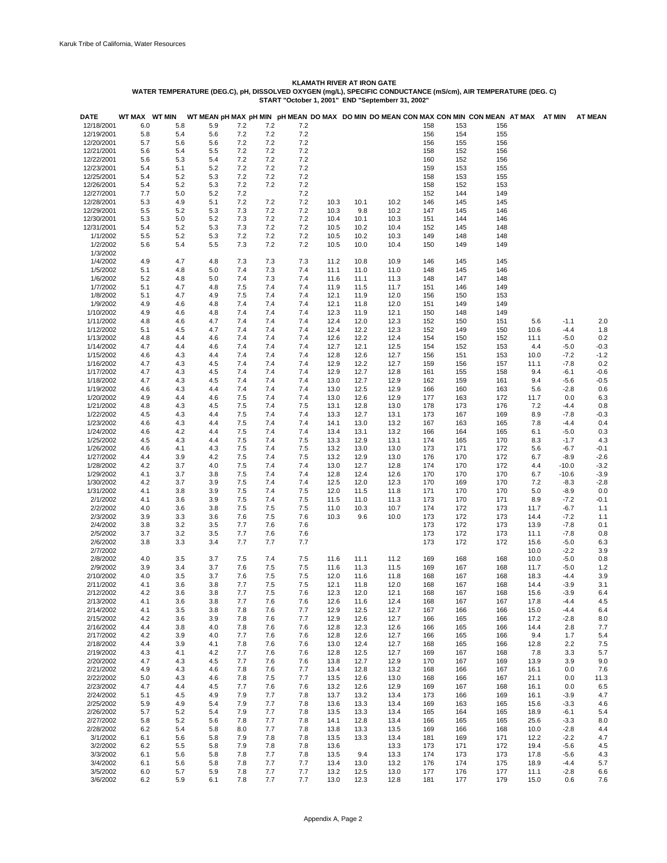| <b>DATE</b>          | WT MAX WT MIN |            |            |            |            |            |              |              |              |            |            | WT MEAN pH MAX pH MIN pH MEAN DO MAX DO MIN DO MEAN CON MAX CON MIN CON MEAN AT MAX |             | AT MIN           | <b>AT MEAN</b>   |
|----------------------|---------------|------------|------------|------------|------------|------------|--------------|--------------|--------------|------------|------------|-------------------------------------------------------------------------------------|-------------|------------------|------------------|
| 12/18/2001           | 6.0           | 5.8        | 5.9        | 7.2        | 7.2        | 7.2        |              |              |              | 158        | 153        | 156                                                                                 |             |                  |                  |
| 12/19/2001           | 5.8           | 5.4        | 5.6        | 7.2        | 7.2        | 7.2        |              |              |              | 156        | 154        | 155                                                                                 |             |                  |                  |
| 12/20/2001           | 5.7           | 5.6        | 5.6        | 7.2        | 7.2        | 7.2        |              |              |              | 156        | 155        | 156                                                                                 |             |                  |                  |
| 12/21/2001           | 5.6           | 5.4        | 5.5        | 7.2        | 7.2        | 7.2        |              |              |              | 158        | 152        | 156                                                                                 |             |                  |                  |
| 12/22/2001           | 5.6           | 5.3        | 5.4        | 7.2        | 7.2        | 7.2        |              |              |              | 160        | 152        | 156                                                                                 |             |                  |                  |
| 12/23/2001           | 5.4           | 5.1        | 5.2        | 7.2        | 7.2        | 7.2        |              |              |              | 159        | 153        | 155                                                                                 |             |                  |                  |
| 12/25/2001           | 5.4           | 5.2        | 5.3        | 7.2        | 7.2        | 7.2        |              |              |              | 158        | 153        | 155                                                                                 |             |                  |                  |
| 12/26/2001           | 5.4           | 5.2        | 5.3        | 7.2        | 7.2        | 7.2        |              |              |              | 158        | 152        | 153                                                                                 |             |                  |                  |
| 12/27/2001           | 7.7           | 5.0        | 5.2        | 7.2        |            | 7.2        |              |              |              | 152        | 144        | 149                                                                                 |             |                  |                  |
| 12/28/2001           | 5.3           | 4.9        | 5.1        | 7.2        | 7.2        | 7.2        | 10.3         | 10.1         | 10.2         | 146        | 145        | 145                                                                                 |             |                  |                  |
| 12/29/2001           | 5.5           | 5.2        | 5.3        | 7.3        | 7.2        | 7.2        | 10.3         | 9.8          | 10.2         | 147        | 145        | 146                                                                                 |             |                  |                  |
| 12/30/2001           | 5.3           | 5.0        | 5.2        | 7.3        | 7.2        | 7.2        | 10.4         | 10.1         | 10.3         | 151        | 144        | 146                                                                                 |             |                  |                  |
| 12/31/2001           | 5.4           | 5.2        | 5.3        | 7.3        | 7.2        | 7.2        | 10.5         | 10.2         | 10.4         | 152        | 145        | 148                                                                                 |             |                  |                  |
| 1/1/2002             | 5.5           | 5.2        | 5.3        | 7.2        | 7.2        | 7.2        | 10.5         | 10.2         | 10.3         | 149        | 148        | 148                                                                                 |             |                  |                  |
| 1/2/2002             | 5.6           | 5.4        | 5.5        | 7.3        | 7.2        | 7.2        | 10.5         | 10.0         | 10.4         | 150        | 149        | 149                                                                                 |             |                  |                  |
| 1/3/2002             |               |            |            |            |            |            |              |              |              |            |            |                                                                                     |             |                  |                  |
| 1/4/2002             | 4.9           | 4.7        | 4.8        | 7.3        | 7.3        | 7.3        | 11.2         | 10.8         | 10.9         | 146        | 145        | 145                                                                                 |             |                  |                  |
| 1/5/2002             | 5.1           | 4.8        | 5.0        | 7.4<br>7.4 | 7.3        | 7.4        | 11.1         | 11.0         | 11.0         | 148        | 145        | 146                                                                                 |             |                  |                  |
| 1/6/2002<br>1/7/2002 | 5.2<br>5.1    | 4.8<br>4.7 | 5.0<br>4.8 | 7.5        | 7.3<br>7.4 | 7.4<br>7.4 | 11.6<br>11.9 | 11.1<br>11.5 | 11.3<br>11.7 | 148<br>151 | 147<br>146 | 148<br>149                                                                          |             |                  |                  |
| 1/8/2002             | 5.1           | 4.7        | 4.9        | 7.5        | 7.4        | 7.4        | 12.1         | 11.9         | 12.0         | 156        | 150        | 153                                                                                 |             |                  |                  |
| 1/9/2002             | 4.9           | 4.6        | 4.8        | 7.4        | 7.4        | 7.4        | 12.1         | 11.8         | 12.0         | 151        | 149        | 149                                                                                 |             |                  |                  |
| 1/10/2002            |               |            |            | 7.4        | 7.4        |            |              |              | 12.1         |            |            |                                                                                     |             |                  |                  |
| 1/11/2002            | 4.9           | 4.6        | 4.8        | 7.4        | 7.4        | 7.4<br>7.4 | 12.3<br>12.4 | 11.9         | 12.3         | 150<br>152 | 148<br>150 | 149<br>151                                                                          |             |                  | 2.0              |
| 1/12/2002            | 4.8<br>5.1    | 4.6<br>4.5 | 4.7<br>4.7 | 7.4        | 7.4        | 7.4        | 12.4         | 12.0<br>12.2 | 12.3         | 152        | 149        | 150                                                                                 | 5.6<br>10.6 | $-1.1$<br>$-4.4$ | 1.8              |
| 1/13/2002            | 4.8           | 4.4        | 4.6        | 7.4        | 7.4        | 7.4        | 12.6         | 12.2         | 12.4         | 154        | 150        | 152                                                                                 | 11.1        | $-5.0$           | 0.2              |
| 1/14/2002            | 4.7           | 4.4        | 4.6        | 7.4        | 7.4        | 7.4        | 12.7         | 12.1         | 12.5         | 154        |            | 153                                                                                 | 4.4         | $-5.0$           |                  |
| 1/15/2002            | 4.6           | 4.3        | 4.4        | 7.4        | 7.4        | 7.4        | 12.8         | 12.6         | 12.7         | 156        | 152<br>151 | 153                                                                                 | 10.0        | $-7.2$           | $-0.3$<br>$-1.2$ |
| 1/16/2002            | 4.7           | 4.3        | 4.5        | 7.4        | 7.4        | 7.4        | 12.9         | 12.2         | 12.7         | 159        | 156        | 157                                                                                 | 11.1        | $-7.8$           | 0.2              |
| 1/17/2002            | 4.7           | 4.3        | 4.5        | 7.4        | 7.4        | 7.4        | 12.9         | 12.7         | 12.8         | 161        | 155        | 158                                                                                 | 9.4         | $-6.1$           | $-0.6$           |
| 1/18/2002            | 4.7           | 4.3        | 4.5        | 7.4        | 7.4        | 7.4        | 13.0         | 12.7         | 12.9         | 162        | 159        | 161                                                                                 | 9.4         | -5.6             | $-0.5$           |
| 1/19/2002            | 4.6           | 4.3        | 4.4        | 7.4        | 7.4        | 7.4        | 13.0         | 12.5         | 12.9         | 166        | 160        | 163                                                                                 | 5.6         | $-2.8$           | 0.6              |
| 1/20/2002            | 4.9           | 4.4        | 4.6        | 7.5        | 7.4        | 7.4        | 13.0         | 12.6         | 12.9         | 177        | 163        | 172                                                                                 | 11.7        | 0.0              | 6.3              |
| 1/21/2002            | 4.8           | 4.3        | 4.5        | 7.5        | 7.4        | 7.5        | 13.1         | 12.8         | 13.0         | 178        | 173        | 176                                                                                 | 7.2         | $-4.4$           | 0.8              |
| 1/22/2002            | 4.5           | 4.3        | 4.4        | 7.5        | 7.4        | 7.4        | 13.3         | 12.7         | 13.1         | 173        | 167        | 169                                                                                 | 8.9         | $-7.8$           | $-0.3$           |
| 1/23/2002            | 4.6           | 4.3        | 4.4        | 7.5        | 7.4        | 7.4        | 14.1         | 13.0         | 13.2         | 167        | 163        | 165                                                                                 | 7.8         | $-4.4$           | 0.4              |
| 1/24/2002            | 4.6           | 4.2        | 4.4        | 7.5        | 7.4        | 7.4        | 13.4         | 13.1         | 13.2         | 166        | 164        | 165                                                                                 | 6.1         | $-5.0$           | 0.3              |
| 1/25/2002            | 4.5           | 4.3        | 4.4        | 7.5        | 7.4        | 7.5        | 13.3         | 12.9         | 13.1         | 174        | 165        | 170                                                                                 | 8.3         | $-1.7$           | 4.3              |
| 1/26/2002            | 4.6           | 4.1        | 4.3        | 7.5        | 7.4        | 7.5        | 13.2         | 13.0         | 13.0         | 173        | 171        | 172                                                                                 | 5.6         | $-6.7$           | $-0.1$           |
| 1/27/2002            | 4.4           | 3.9        | 4.2        | 7.5        | 7.4        | 7.5        | 13.2         | 12.9         | 13.0         | 176        | 170        | 172                                                                                 | 6.7         | $-8.9$           | $-2.6$           |
| 1/28/2002            | 4.2           | 3.7        | 4.0        | 7.5        | 7.4        | 7.4        | 13.0         | 12.7         | 12.8         | 174        | 170        | 172                                                                                 | 4.4         | $-10.0$          | $-3.2$           |
| 1/29/2002            | 4.1           | 3.7        | 3.8        | 7.5        | 7.4        | 7.4        | 12.8         | 12.4         | 12.6         | 170        | 170        | 170                                                                                 | 6.7         | $-10.6$          | $-3.9$           |
| 1/30/2002            | 4.2           | 3.7        | 3.9        | 7.5        | 7.4        | 7.4        | 12.5         | 12.0         | 12.3         | 170        | 169        | 170                                                                                 | 7.2         | $-8.3$           | $-2.8$           |
| 1/31/2002            | 4.1           | 3.8        | 3.9        | 7.5        | 7.4        | 7.5        | 12.0         | 11.5         | 11.8         | 171        | 170        | 170                                                                                 | 5.0         | $-8.9$           | 0.0              |
| 2/1/2002             | 4.1           | 3.6        | 3.9        | 7.5        | 7.4        | 7.5        | 11.5         | 11.0         | 11.3         | 173        | 170        | 171                                                                                 | 8.9         | $-7.2$           | $-0.1$           |
| 2/2/2002             | 4.0           | 3.6        | 3.8        | 7.5        | 7.5        | 7.5        | 11.0         | 10.3         | 10.7         | 174        | 172        | 173                                                                                 | 11.7        | $-6.7$           | 1.1              |
| 2/3/2002             | 3.9           | 3.3        | 3.6        | 7.6        | 7.5        | 7.6        | 10.3         | 9.6          | 10.0         | 173        | 172        | 173                                                                                 | 14.4        | $-7.2$           | 1.1              |
| 2/4/2002             | 3.8           | 3.2        | 3.5        | 7.7        | 7.6        | 7.6        |              |              |              | 173        | 172        | 173                                                                                 | 13.9        | $-7.8$           | 0.1              |
| 2/5/2002             | 3.7           | 3.2        | 3.5        | 7.7        | 7.6        | 7.6        |              |              |              | 173        | 172        | 173                                                                                 | 11.1        | $-7.8$           | 0.8              |
| 2/6/2002             | 3.8           | 3.3        | 3.4        | 7.7        | 7.7        | 7.7        |              |              |              | 173        | 172        | 172                                                                                 | 15.6        | $-5.0$           | 6.3              |
| 2/7/2002             |               |            |            |            |            |            |              |              |              |            |            |                                                                                     | 10.0        | $-2.2$           | 3.9              |
| 2/8/2002             | 4.0           | 3.5        | 3.7        | 7.5        | 7.4        | 7.5        | 11.6         | 11.1         | 11.2         | 169        | 168        | 168                                                                                 | 10.0        | $-5.0$           | 0.8              |
| 2/9/2002             | 3.9           | 3.4        | 3.7        | 7.6        | 7.5        | 7.5        | 11.6         | 11.3         | 11.5         | 169        | 167        | 168                                                                                 | 11.7        | $-5.0$           | 1.2              |
| 2/10/2002            | 4.0           | 3.5        | 3.7        | 7.6        | 7.5        | 7.5        | 12.0         | 11.6         | 11.8         | 168        | 167        | 168                                                                                 | 18.3        | $-4.4$           | 3.9              |
| 2/11/2002            | 4.1           | 3.6        | 3.8        | 7.7        | 7.5        | 7.5        | 12.1         | 11.8         | 12.0         | 168        | 167        | 168                                                                                 | 14.4        | $-3.9$           | 3.1              |
| 2/12/2002            | 4.2           | 3.6        | 3.8        | 7.7        | 7.5        | 7.6        | 12.3         | 12.0         | 12.1         | 168        | 167        | 168                                                                                 | 15.6        | $-3.9$           | 6.4              |
| 2/13/2002            | 4.1           | 3.6        | 3.8        | 7.7        | 7.6        | 7.6        | 12.6         | 11.6         | 12.4         | 168        | 167        | 167                                                                                 | 17.8        | -4.4             | 4.5              |
| 2/14/2002            | 4.1           | 3.5        | 3.8        | 7.8        | 7.6        | 7.7        | 12.9         | 12.5         | 12.7         | 167        | 166        | 166                                                                                 | 15.0        | $-4.4$           | 6.4              |
| 2/15/2002            | 4.2           | 3.6        | 3.9        | 7.8        | 7.6        | 7.7        | 12.9         | 12.6         | 12.7         | 166        | 165        | 166                                                                                 | 17.2        | $-2.8$           | 8.0              |
| 2/16/2002            | 4.4           | 3.8        | 4.0        | 7.8        | 7.6        | 7.6        | 12.8         | 12.3         | 12.6         | 166        | 165        | 166                                                                                 | 14.4        | 2.8              | 7.7              |
| 2/17/2002            | 4.2           | 3.9        | 4.0        | 7.7        | 7.6        | 7.6        | 12.8         | 12.6         | 12.7         | 166        | 165        | 166                                                                                 | 9.4         | 1.7              | 5.4              |
| 2/18/2002            | 4.4           | 3.9        | 4.1        | 7.8        | 7.6        | 7.6        | 13.0         | 12.4         | 12.7         | 168        | 165        | 166                                                                                 | 12.8        | 2.2              | 7.5              |
| 2/19/2002            | 4.3           | 4.1        | 4.2        | 7.7        | 7.6        | 7.6        | 12.8         | 12.5         | 12.7         | 169        | 167        | 168                                                                                 | 7.8         | 3.3              | 5.7              |
| 2/20/2002            | 4.7           | 4.3        | 4.5        | 7.7        | 7.6        | 7.6        | 13.8         | 12.7         | 12.9         | 170        | 167        | 169                                                                                 | 13.9        | 3.9              | 9.0              |
| 2/21/2002            | 4.9           | 4.3        | 4.6        | 7.8        | 7.6        | 7.7        | 13.4         | 12.8         | 13.2         | 168        | 166        | 167                                                                                 | 16.1        | 0.0              | 7.6              |
| 2/22/2002            | 5.0           | 4.3        | 4.6        | 7.8        | 7.5        | 7.7        | 13.5         | 12.6         | 13.0         | 168        | 166        | 167                                                                                 | 21.1        | 0.0              | 11.3             |
| 2/23/2002            | 4.7           | 4.4        | 4.5        | 7.7        | 7.6        | 7.6        | 13.2         | 12.6         | 12.9         | 169        | 167        | 168                                                                                 | 16.1        | 0.0              | 6.5              |
| 2/24/2002            | 5.1           | 4.5        | 4.9        | 7.9        | 7.7        | 7.8        | 13.7         | 13.2         | 13.4         | 173        | 166        | 169                                                                                 | 16.1        | $-3.9$           | 4.7              |
| 2/25/2002            | 5.9           | 4.9        | 5.4        | 7.9        | 7.7        | 7.8        | 13.6         | 13.3         | 13.4         | 169        | 163        | 165                                                                                 | 15.6        | $-3.3$           | 4.6              |
| 2/26/2002            | 5.7           | 5.2        | 5.4        | 7.9        | 7.7        | 7.8        | 13.5         | 13.3         | 13.4         | 165        | 164        | 165                                                                                 | 18.9        | $-6.1$           | 5.4              |
| 2/27/2002            | 5.8           | 5.2        | 5.6        | 7.8        | 7.7        | 7.8        | 14.1         | 12.8         | 13.4         | 166        | 165        | 165                                                                                 | 25.6        | $-3.3$           | 8.0              |
| 2/28/2002            | 6.2           | 5.4        | 5.8        | 8.0        | 7.7        | 7.8        | 13.8         | 13.3         | 13.5         | 169        | 166        | 168                                                                                 | 10.0        | $-2.8$           | 4.4              |
| 3/1/2002             | 6.1           | 5.6        | 5.8        | 7.9        | 7.8        | 7.8        | 13.5         | 13.3         | 13.4         | 181        | 169        | 171                                                                                 | 12.2        | $-2.2$           | 4.7              |
| 3/2/2002             | 6.2           | 5.5        | 5.8        | 7.9        | 7.8        | 7.8        | 13.6         |              | 13.3         | 173        | 171        | 172                                                                                 | 19.4        | $-5.6$           | 4.5              |
| 3/3/2002             | 6.1           | 5.6        | 5.8        | 7.8        | 7.7        | 7.8        | 13.5         | 9.4          | 13.3         | 174        | 173        | 173                                                                                 | 17.8        | $-5.6$           | 4.3              |
| 3/4/2002             | 6.1           | 5.6        | 5.8        | 7.8        | 7.7        | 7.7        | 13.4         | 13.0         | 13.2         | 176        | 174        | 175                                                                                 | 18.9        | -4.4             | 5.7              |
| 3/5/2002             | 6.0           | 5.7        | 5.9        | 7.8        | 7.7        | 7.7        | 13.2         | 12.5         | 13.0         | 177        | 176        | 177                                                                                 | 11.1        | $-2.8$           | 6.6              |
| 3/6/2002             | 6.2           | 5.9        | 6.1        | 7.8        | 7.7        | 7.7        | 13.0         | 12.3         | 12.8         | 181        | 177        | 179                                                                                 | 15.0        | 0.6              | 7.6              |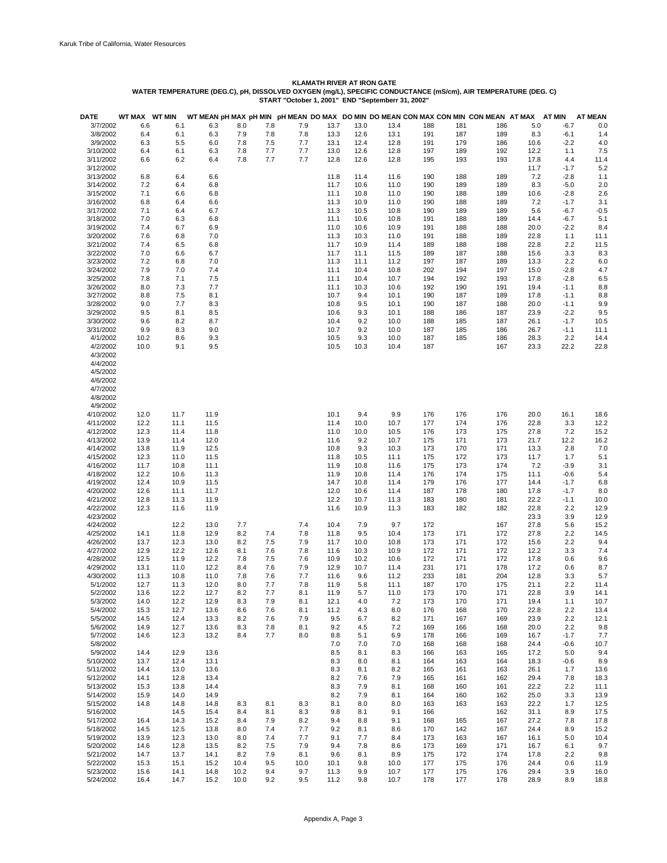| <b>DATE</b> | WT MAX WT MIN |      |              |            |     |      |      |      |      |     |     | WT MEAN pH MAX pH MIN pH MEAN DO MAX DO MIN DO MEAN CON MAX CON MIN CON MEAN AT MAX |      | AT MIN | <b>AT MEAN</b> |
|-------------|---------------|------|--------------|------------|-----|------|------|------|------|-----|-----|-------------------------------------------------------------------------------------|------|--------|----------------|
| 3/7/2002    | 6.6           |      | 6.1          | 6.3<br>8.0 | 7.8 | 7.9  | 13.7 | 13.0 | 13.4 | 188 | 181 | 186                                                                                 | 5.0  | $-6.7$ | 0.0            |
| 3/8/2002    | 6.4           |      | 6.1          | 6.3<br>7.9 | 7.8 | 7.8  | 13.3 | 12.6 | 13.1 | 191 | 187 | 189                                                                                 | 8.3  | $-6.1$ | 1.4            |
| 3/9/2002    | 6.3           |      | 5.5          | 6.0<br>7.8 | 7.5 | 7.7  | 13.1 | 12.4 | 12.8 | 191 | 179 | 186                                                                                 | 10.6 | $-2.2$ | 4.0            |
| 3/10/2002   | 6.4           |      |              | 6.3<br>7.8 | 7.7 | 7.7  | 13.0 | 12.6 | 12.8 | 197 | 189 | 192                                                                                 | 12.2 | 1.1    | 7.5            |
| 3/11/2002   | 6.6           |      | 6.1<br>6.2   | 6.4<br>7.8 | 7.7 | 7.7  | 12.8 | 12.6 | 12.8 | 195 | 193 | 193                                                                                 | 17.8 | 4.4    | 11.4           |
| 3/12/2002   |               |      |              |            |     |      |      |      |      |     |     |                                                                                     |      |        |                |
|             |               |      |              |            |     |      |      |      |      |     |     |                                                                                     | 11.7 | $-1.7$ | 5.2            |
| 3/13/2002   | 6.8           |      | 6.4          | 6.6        |     |      | 11.8 | 11.4 | 11.6 | 190 | 188 | 189                                                                                 | 7.2  | $-2.8$ | 1.1            |
| 3/14/2002   | 7.2           |      | 6.4<br>6.8   |            |     |      | 11.7 | 10.6 | 11.0 | 190 | 189 | 189                                                                                 | 8.3  | $-5.0$ | 2.0            |
| 3/15/2002   | 7.1           |      | 6.6          | 6.8        |     |      | 11.1 | 10.8 | 11.0 | 190 | 188 | 189                                                                                 | 10.6 | $-2.8$ | 2.6            |
| 3/16/2002   | 6.8           |      | 6.4          | 6.6        |     |      | 11.3 | 10.9 | 11.0 | 190 | 188 | 189                                                                                 | 7.2  | $-1.7$ | 3.1            |
| 3/17/2002   | 7.1           |      | 6.4          | 6.7        |     |      | 11.3 | 10.5 | 10.8 | 190 | 189 | 189                                                                                 | 5.6  | $-6.7$ | $-0.5$         |
| 3/18/2002   | 7.0           |      | 6.3          | 6.8        |     |      | 11.1 | 10.6 | 10.8 | 191 | 188 | 189                                                                                 | 14.4 | $-6.7$ | 5.1            |
| 3/19/2002   | 7.4           |      | 6.9<br>6.7   |            |     |      | 11.0 | 10.6 | 10.9 | 191 | 188 | 188                                                                                 | 20.0 | $-2.2$ | 8.4            |
| 3/20/2002   | 7.6           |      | 6.8          | 7.0        |     |      | 11.3 | 10.3 | 11.0 | 191 | 188 | 189                                                                                 | 22.8 | 1.1    | 11.1           |
| 3/21/2002   | 7.4           |      | 6.5<br>6.8   |            |     |      | 11.7 | 10.9 | 11.4 | 189 | 188 | 188                                                                                 | 22.8 | 2.2    | 11.5           |
| 3/22/2002   | 7.0           |      | 6.6          | 6.7        |     |      | 11.7 | 11.1 | 11.5 | 189 | 187 | 188                                                                                 | 15.6 | 3.3    | 8.3            |
| 3/23/2002   | 7.2           |      | 6.8          | 7.0        |     |      | 11.3 | 11.1 | 11.2 | 197 | 187 | 189                                                                                 | 13.3 | 2.2    | 6.0            |
| 3/24/2002   | 7.9           |      | 7.0<br>7.4   |            |     |      | 11.1 | 10.4 | 10.8 | 202 | 194 | 197                                                                                 | 15.0 | $-2.8$ | 4.7            |
| 3/25/2002   | 7.8           |      | 7.1<br>7.5   |            |     |      | 11.1 | 10.4 | 10.7 | 194 | 192 | 193                                                                                 | 17.8 | $-2.8$ | 6.5            |
| 3/26/2002   | 8.0           |      | 7.7<br>7.3   |            |     |      | 11.1 | 10.3 | 10.6 | 192 | 190 | 191                                                                                 | 19.4 | $-1.1$ | 8.8            |
| 3/27/2002   | 8.8           |      | 7.5<br>8.1   |            |     |      | 10.7 | 9.4  | 10.1 | 190 | 187 | 189                                                                                 | 17.8 | $-1.1$ | 8.8            |
| 3/28/2002   | 9.0           |      | 7.7          | 8.3        |     |      | 10.8 | 9.5  | 10.1 | 190 | 187 | 188                                                                                 | 20.0 | $-1.1$ | 9.9            |
| 3/29/2002   | 9.5           |      | 8.1          | 8.5        |     |      | 10.6 | 9.3  | 10.1 | 188 | 186 | 187                                                                                 | 23.9 | $-2.2$ | 9.5            |
| 3/30/2002   | 9.6           |      | 8.2          | 8.7        |     |      | 10.4 | 9.2  | 10.0 |     | 185 |                                                                                     | 26.1 | $-1.7$ |                |
|             |               |      |              |            |     |      |      |      |      | 188 |     | 187                                                                                 |      |        | 10.5           |
| 3/31/2002   | 9.9           |      | 8.3          | 9.0        |     |      | 10.7 | 9.2  | 10.0 | 187 | 185 | 186                                                                                 | 26.7 | $-1.1$ | 11.1           |
| 4/1/2002    | 10.2          |      | 8.6          | 9.3        |     |      | 10.5 | 9.3  | 10.0 | 187 | 185 | 186                                                                                 | 28.3 | 2.2    | 14.4           |
| 4/2/2002    | 10.0          |      | 9.1          | 9.5        |     |      | 10.5 | 10.3 | 10.4 | 187 |     | 167                                                                                 | 23.3 | 22.2   | 22.8           |
| 4/3/2002    |               |      |              |            |     |      |      |      |      |     |     |                                                                                     |      |        |                |
| 4/4/2002    |               |      |              |            |     |      |      |      |      |     |     |                                                                                     |      |        |                |
| 4/5/2002    |               |      |              |            |     |      |      |      |      |     |     |                                                                                     |      |        |                |
| 4/6/2002    |               |      |              |            |     |      |      |      |      |     |     |                                                                                     |      |        |                |
| 4/7/2002    |               |      |              |            |     |      |      |      |      |     |     |                                                                                     |      |        |                |
| 4/8/2002    |               |      |              |            |     |      |      |      |      |     |     |                                                                                     |      |        |                |
| 4/9/2002    |               |      |              |            |     |      |      |      |      |     |     |                                                                                     |      |        |                |
| 4/10/2002   | 12.0          | 11.7 | 11.9         |            |     |      | 10.1 | 9.4  | 9.9  | 176 | 176 | 176                                                                                 | 20.0 | 16.1   | 18.6           |
| 4/11/2002   | 12.2          | 11.1 | 11.5         |            |     |      | 11.4 | 10.0 | 10.7 | 177 | 174 | 176                                                                                 | 22.8 | 3.3    | 12.2           |
| 4/12/2002   | 12.3          | 11.4 | 11.8         |            |     |      | 11.0 | 10.0 | 10.5 | 176 | 173 | 175                                                                                 | 27.8 | 7.2    | 15.2           |
| 4/13/2002   | 13.9          | 11.4 | 12.0         |            |     |      | 11.6 | 9.2  | 10.7 | 175 | 171 | 173                                                                                 | 21.7 | 12.2   | 16.2           |
| 4/14/2002   | 13.8          | 11.9 | 12.5         |            |     |      | 10.8 | 9.3  | 10.3 | 173 | 170 | 171                                                                                 | 13.3 | 2.8    | 7.0            |
|             |               |      |              |            |     |      |      |      |      |     |     |                                                                                     |      |        |                |
| 4/15/2002   | 12.3          | 11.0 | 11.5         |            |     |      | 11.8 | 10.5 | 11.1 | 175 | 172 | 173                                                                                 | 11.7 | 1.7    | 5.1            |
| 4/16/2002   | 11.7          | 10.8 | 11.1         |            |     |      | 11.9 | 10.8 | 11.6 | 175 | 173 | 174                                                                                 | 7.2  | $-3.9$ | 3.1            |
| 4/18/2002   | 12.2          |      | 10.6<br>11.3 |            |     |      | 11.9 | 10.8 | 11.4 | 176 | 174 | 175                                                                                 | 11.1 | $-0.6$ | 5.4            |
| 4/19/2002   | 12.4          | 10.9 | 11.5         |            |     |      | 14.7 | 10.8 | 11.4 | 179 | 176 | 177                                                                                 | 14.4 | $-1.7$ | 6.8            |
| 4/20/2002   | 12.6          | 11.1 | 11.7         |            |     |      | 12.0 | 10.6 | 11.4 | 187 | 178 | 180                                                                                 | 17.8 | $-1.7$ | 8.0            |
| 4/21/2002   | 12.8          | 11.3 | 11.9         |            |     |      | 12.2 | 10.7 | 11.3 | 183 | 180 | 181                                                                                 | 22.2 | $-1.1$ | 10.0           |
| 4/22/2002   | 12.3          |      | 11.6<br>11.9 |            |     |      | 11.6 | 10.9 | 11.3 | 183 | 182 | 182                                                                                 | 22.8 | 2.2    | 12.9           |
| 4/23/2002   |               |      |              |            |     |      |      |      |      |     |     |                                                                                     | 23.3 | 3.9    | 12.9           |
| 4/24/2002   |               |      | 12.2<br>13.0 | 7.7        |     | 7.4  | 10.4 | 7.9  | 9.7  | 172 |     | 167                                                                                 | 27.8 | 5.6    | 15.2           |
| 4/25/2002   | 14.1          |      | 11.8<br>12.9 | 8.2        | 7.4 | 7.8  | 11.8 | 9.5  | 10.4 | 173 | 171 | 172                                                                                 | 27.8 | 2.2    | 14.5           |
| 4/26/2002   | 13.7          |      | 12.3<br>13.0 | 8.2        | 7.5 | 7.9  | 11.7 | 10.0 | 10.8 | 173 | 171 | 172                                                                                 | 15.6 | 2.2    | 9.4            |
| 4/27/2002   | 12.9          |      | 12.2<br>12.6 | 8.1        | 7.6 | 7.8  | 11.6 | 10.3 | 10.9 | 172 | 171 | 172                                                                                 | 12.2 | 3.3    | 7.4            |
| 4/28/2002   | 12.5          | 11.9 | 12.2         | 7.8        | 7.5 | 7.6  | 10.9 | 10.2 | 10.6 | 172 | 171 | 172                                                                                 | 17.8 | 0.6    | 9.6            |
| 4/29/2002   | 13.1          | 11.0 | 12.2         | 8.4        | 7.6 | 7.9  | 12.9 | 10.7 | 11.4 | 231 | 171 | 178                                                                                 | 17.2 | 0.6    | 8.7            |
| 4/30/2002   | 11.3          | 10.8 | 11.0         | 7.8        | 7.6 | 7.7  | 11.6 | 9.6  | 11.2 | 233 | 181 | 204                                                                                 | 12.8 | 3.3    | 5.7            |
| 5/1/2002    | 12.7          | 11.3 | 12.0         | 8.0        | 7.7 | 7.8  | 11.9 | 5.8  | 11.1 | 187 | 170 | 175                                                                                 | 21.1 | 2.2    | 11.4           |
| 5/2/2002    | 13.6          |      | 12.2<br>12.7 | 8.2        | 7.7 | 8.1  | 11.9 | 5.7  | 11.0 | 173 | 170 | 171                                                                                 | 22.8 | 3.9    |                |
|             |               |      |              |            |     |      |      |      |      |     |     |                                                                                     |      |        | 14.1           |
| 5/3/2002    | 14.0          |      | 12.2<br>12.9 | 8.3        | 7.9 | 8.1  | 12.1 | 4.0  | 7.2  | 173 | 170 | 171                                                                                 | 19.4 | 1.1    | 10.7           |
| 5/4/2002    | 15.3          | 12.7 | 13.6         | 8.6        | 7.6 | 8.1  | 11.2 | 4.3  | 8.0  | 176 | 168 | 170                                                                                 | 22.8 | 2.2    | 13.4           |
| 5/5/2002    | 14.5          |      | 12.4<br>13.3 | 8.2        | 7.6 | 7.9  | 9.5  | 6.7  | 8.2  | 171 | 167 | 169                                                                                 | 23.9 | 2.2    | 12.1           |
| 5/6/2002    | 14.9          | 12.7 | 13.6         | 8.3        | 7.8 | 8.1  | 9.2  | 4.5  | 7.2  | 169 | 166 | 168                                                                                 | 20.0 | 2.2    | 9.8            |
| 5/7/2002    | 14.6          |      | 12.3<br>13.2 | 8.4        | 7.7 | 8.0  | 8.8  | 5.1  | 6.9  | 178 | 166 | 169                                                                                 | 16.7 | $-1.7$ | 7.7            |
| 5/8/2002    |               |      |              |            |     |      | 7.0  | 7.0  | 7.0  | 168 | 168 | 168                                                                                 | 24.4 | $-0.6$ | 10.7           |
| 5/9/2002    | 14.4          | 12.9 | 13.6         |            |     |      | 8.5  | 8.1  | 8.3  | 166 | 163 | 165                                                                                 | 17.2 | 5.0    | 9.4            |
| 5/10/2002   | 13.7          | 12.4 | 13.1         |            |     |      | 8.3  | 8.0  | 8.1  | 164 | 163 | 164                                                                                 | 18.3 | $-0.6$ | 8.9            |
| 5/11/2002   | 14.4          | 13.0 | 13.6         |            |     |      | 8.3  | 8.1  | 8.2  | 165 | 161 | 163                                                                                 | 26.1 | 1.7    | 13.6           |
| 5/12/2002   | 14.1          |      | 12.8<br>13.4 |            |     |      | 8.2  | 7.6  | 7.9  | 165 | 161 | 162                                                                                 | 29.4 | 7.8    | 18.3           |
| 5/13/2002   | 15.3          | 13.8 | 14.4         |            |     |      | 8.3  | 7.9  | 8.1  | 168 | 160 | 161                                                                                 | 22.2 | 2.2    | 11.1           |
| 5/14/2002   | 15.9          | 14.0 | 14.9         |            |     |      | 8.2  | 7.9  | 8.1  | 164 | 160 | 162                                                                                 | 25.0 | 3.3    | 13.9           |
| 5/15/2002   | 14.8          | 14.8 | 14.8         | 8.3        | 8.1 | 8.3  | 8.1  | 8.0  | 8.0  | 163 | 163 | 163                                                                                 | 22.2 | 1.7    | 12.5           |
| 5/16/2002   |               |      | 14.5<br>15.4 | 8.4        | 8.1 | 8.3  | 9.8  | 8.1  | 9.1  | 166 |     | 162                                                                                 | 31.1 | 8.9    | 17.5           |
| 5/17/2002   | 16.4          |      | 14.3<br>15.2 | 8.4        | 7.9 | 8.2  | 9.4  | 8.8  | 9.1  | 168 | 165 | 167                                                                                 | 27.2 | 7.8    | 17.8           |
|             |               |      |              |            |     |      |      |      |      |     |     |                                                                                     |      |        |                |
| 5/18/2002   | 14.5          |      | 12.5<br>13.8 | 8.0        | 7.4 | 7.7  | 9.2  | 8.1  | 8.6  | 170 | 142 | 167                                                                                 | 24.4 | 8.9    | 15.2           |
| 5/19/2002   | 13.9          |      | 12.3<br>13.0 | 8.0        | 7.4 | 7.7  | 9.1  | 7.7  | 8.4  | 173 | 163 | 167                                                                                 | 16.1 | 5.0    | 10.4           |
| 5/20/2002   | 14.6          | 12.8 | 13.5         | 8.2        | 7.5 | 7.9  | 9.4  | 7.8  | 8.6  | 173 | 169 | 171                                                                                 | 16.7 | 6.1    | 9.7            |
| 5/21/2002   | 14.7          | 13.7 | 14.1         | 8.2        | 7.9 | 8.1  | 9.6  | 8.1  | 8.9  | 175 | 172 | 174                                                                                 | 17.8 | 2.2    | 9.8            |
| 5/22/2002   | 15.3          | 15.1 | 15.2         | 10.4       | 9.5 | 10.0 | 10.1 | 9.8  | 10.0 | 177 | 175 | 176                                                                                 | 24.4 | 0.6    | 11.9           |
| 5/23/2002   | 15.6          | 14.1 | 14.8         | 10.2       | 9.4 | 9.7  | 11.3 | 9.9  | 10.7 | 177 | 175 | 176                                                                                 | 29.4 | 3.9    | 16.0           |
| 5/24/2002   | 16.4          | 14.7 | 15.2         | 10.0       | 9.2 | 9.5  | 11.2 | 9.8  | 10.7 | 178 | 177 | 178                                                                                 | 28.9 | 8.9    | 18.8           |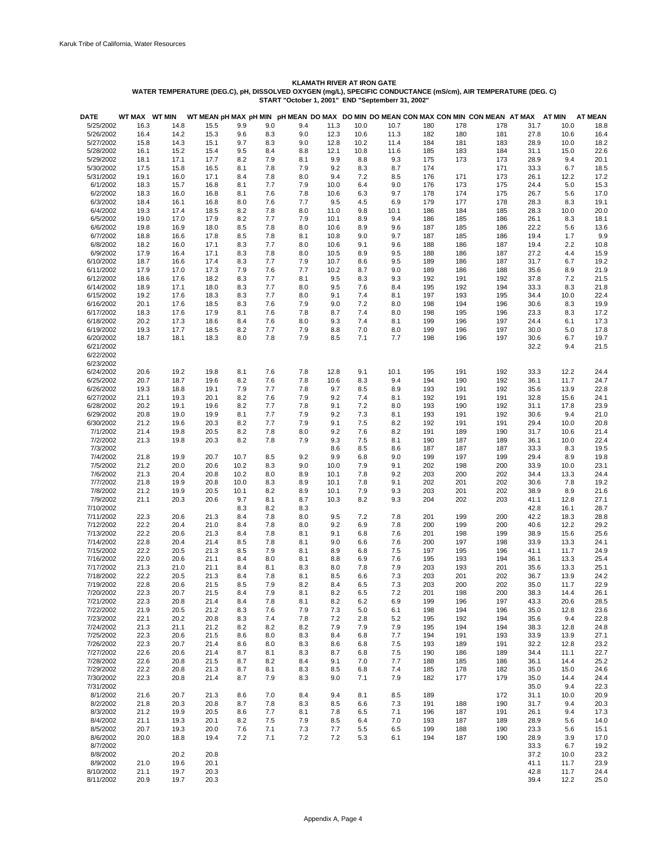| <b>DATE</b>            | WT MAX WT MIN |              |              |            |            |            |            |            |            |            |            | WT MEAN pH MAX pH MIN pH MEAN DO MAX DO MIN DO MEAN CON MAX CON MIN CON MEAN AT MAX |              | AT MIN       | <b>AT MEAN</b> |
|------------------------|---------------|--------------|--------------|------------|------------|------------|------------|------------|------------|------------|------------|-------------------------------------------------------------------------------------|--------------|--------------|----------------|
| 5/25/2002              | 16.3          | 14.8         | 15.5         | 9.9        | 9.0        | 9.4        | 11.3       | 10.0       | 10.7       | 180        | 178        | 178                                                                                 | 31.7         | 10.0         | 18.8           |
| 5/26/2002              | 16.4          | 14.2         | 15.3         | 9.6        | 8.3        | 9.0        | 12.3       | 10.6       | 11.3       | 182        | 180        | 181                                                                                 | 27.8         | 10.6         | 16.4           |
| 5/27/2002              | 15.8          | 14.3         | 15.1         | 9.7        | 8.3        | 9.0        | 12.8       | 10.2       | 11.4       | 184        | 181        | 183                                                                                 | 28.9         | 10.0         | 18.2           |
| 5/28/2002              | 16.1          | 15.2         | 15.4         | 9.5        | 8.4        | 8.8        | 12.1       | 10.8       | 11.6       | 185        | 183        | 184                                                                                 | 31.1         | 15.0         | 22.6           |
| 5/29/2002              | 18.1          | 17.1         | 17.7         | 8.2        | 7.9        | 8.1        | 9.9        | 8.8        | 9.3        | 175        | 173        | 173                                                                                 | 28.9         | 9.4          | 20.1           |
| 5/30/2002              | 17.5          | 15.8         | 16.5         | 8.1        | 7.8        | 7.9        | 9.2        | 8.3        | 8.7        | 174        |            | 171                                                                                 | 33.3         | 6.7          | 18.5           |
| 5/31/2002              | 19.1          | 16.0         | 17.1         | 8.4        | 7.8        | 8.0        | 9.4        | 7.2        | 8.5        | 176        | 171        | 173                                                                                 | 26.1         | 12.2         | 17.2           |
| 6/1/2002               | 18.3          | 15.7         | 16.8         | 8.1        | 7.7        | 7.9        | 10.0       | 6.4        | 9.0        | 176        | 173        | 175                                                                                 | 24.4         | 5.0          | 15.3           |
| 6/2/2002               | 18.3          | 16.0         | 16.8         | 8.1        | 7.6        | 7.8        | 10.6       | 6.3        | 9.7        | 178        | 174        | 175                                                                                 | 26.7         | 5.6          | 17.0           |
| 6/3/2002               | 18.4          | 16.1         | 16.8         | 8.0        | 7.6        | 7.7        | 9.5        | 4.5        | 6.9        | 179        | 177        | 178                                                                                 | 28.3         | 8.3          | 19.1           |
| 6/4/2002               | 19.3          | 17.4         | 18.5         | 8.2        | 7.8        | 8.0        | 11.0       | 9.8        | 10.1       | 186        | 184        | 185                                                                                 | 28.3         | 10.0         | 20.0           |
| 6/5/2002               | 19.0          | 17.0         | 17.9         | 8.2        | 7.7        | 7.9        | 10.1       | 8.9        | 9.4        | 186        | 185        | 186                                                                                 | 26.1         | 8.3          | 18.1           |
| 6/6/2002               | 19.8          | 16.9         | 18.0         | 8.5        | 7.8        | 8.0        | 10.6       | 8.9        | 9.6        | 187        | 185        | 186                                                                                 | 22.2         | 5.6          | 13.6           |
| 6/7/2002               | 18.8          | 16.6         | 17.8         | 8.5        | 7.8        | 8.1        | 10.8       | 9.0        | 9.7        | 187        | 185        | 186                                                                                 | 19.4         | 1.7          | 9.9            |
| 6/8/2002               | 18.2          | 16.0         | 17.1         | 8.3        | 7.7        | 8.0        | 10.6       | 9.1        | 9.6        | 188        | 186        | 187                                                                                 | 19.4         | 2.2          | 10.8           |
| 6/9/2002               | 17.9          | 16.4         | 17.1         | 8.3        | 7.8        | 8.0        | 10.5       | 8.9        | 9.5        | 188        | 186        | 187                                                                                 | 27.2         | 4.4          | 15.9           |
| 6/10/2002              | 18.7          | 16.6         | 17.4         | 8.3<br>7.9 | 7.7<br>7.6 | 7.9<br>7.7 | 10.7       | 8.6        | 9.5        | 189        | 186        | 187                                                                                 | 31.7         | 6.7          | 19.2           |
| 6/11/2002              | 17.9          | 17.0         | 17.3         |            | 7.7        |            | 10.2       | 8.7        | 9.0        | 189        | 186        | 188                                                                                 | 35.6         | 8.9          | 21.9           |
| 6/12/2002<br>6/14/2002 | 18.6<br>18.9  | 17.6<br>17.1 | 18.2<br>18.0 | 8.3<br>8.3 | 7.7        | 8.1<br>8.0 | 9.5<br>9.5 | 8.3<br>7.6 | 9.3<br>8.4 | 192<br>195 | 191<br>192 | 192<br>194                                                                          | 37.8<br>33.3 | 7.2<br>8.3   | 21.5<br>21.8   |
| 6/15/2002              | 19.2          | 17.6         | 18.3         | 8.3        | 7.7        | 8.0        | 9.1        | 7.4        | 8.1        | 197        | 193        | 195                                                                                 | 34.4         | 10.0         | 22.4           |
| 6/16/2002              | 20.1          | 17.6         | 18.5         | 8.3        | 7.6        | 7.9        | 9.0        | 7.2        | 8.0        | 198        | 194        | 196                                                                                 | 30.6         | 8.3          | 19.9           |
| 6/17/2002              | 18.3          | 17.6         | 17.9         | 8.1        | 7.6        | 7.8        | 8.7        | 7.4        | 8.0        | 198        | 195        | 196                                                                                 | 23.3         | 8.3          | 17.2           |
| 6/18/2002              | 20.2          | 17.3         | 18.6         | 8.4        | 7.6        | 8.0        | 9.3        | 7.4        | 8.1        | 199        | 196        | 197                                                                                 | 24.4         | 6.1          | 17.3           |
| 6/19/2002              | 19.3          | 17.7         | 18.5         | 8.2        | 7.7        | 7.9        | 8.8        | 7.0        | 8.0        | 199        | 196        | 197                                                                                 | 30.0         | 5.0          | 17.8           |
| 6/20/2002              | 18.7          | 18.1         | 18.3         | 8.0        | 7.8        | 7.9        | 8.5        | 7.1        | 7.7        | 198        | 196        | 197                                                                                 | 30.6         | 6.7          | 19.7           |
| 6/21/2002              |               |              |              |            |            |            |            |            |            |            |            |                                                                                     | 32.2         | 9.4          | 21.5           |
| 6/22/2002              |               |              |              |            |            |            |            |            |            |            |            |                                                                                     |              |              |                |
| 6/23/2002              |               |              |              |            |            |            |            |            |            |            |            |                                                                                     |              |              |                |
| 6/24/2002              | 20.6          | 19.2         | 19.8         | 8.1        | 7.6        | 7.8        | 12.8       | 9.1        | 10.1       | 195        | 191        | 192                                                                                 | 33.3         | 12.2         | 24.4           |
| 6/25/2002              | 20.7          | 18.7         | 19.6         | 8.2        | 7.6        | 7.8        | 10.6       | 8.3        | 9.4        | 194        | 190        | 192                                                                                 | 36.1         | 11.7         | 24.7           |
| 6/26/2002              | 19.3          | 18.8         | 19.1         | 7.9        | 7.7        | 7.8        | 9.7        | 8.5        | 8.9        | 193        | 191        | 192                                                                                 | 35.6         | 13.9         | 22.8           |
| 6/27/2002              | 21.1          | 19.3         | 20.1         | 8.2        | 7.6        | 7.9        | 9.2        | 7.4        | 8.1        | 192        | 191        | 191                                                                                 | 32.8         | 15.6         | 24.1           |
| 6/28/2002              | 20.2          | 19.1         | 19.6         | 8.2        | 7.7        | 7.8        | 9.1        | 7.2        | 8.0        | 193        | 190        | 192                                                                                 | 31.1         | 17.8         | 23.9           |
| 6/29/2002              | 20.8          | 19.0         | 19.9         | 8.1        | 7.7        | 7.9        | 9.2        | 7.3        | 8.1        | 193        | 191        | 192                                                                                 | 30.6         | 9.4          | 21.0           |
| 6/30/2002              | 21.2          | 19.6         | 20.3         | 8.2        | 7.7        | 7.9        | 9.1        | 7.5        | 8.2        | 192        | 191        | 191                                                                                 | 29.4         | 10.0         | 20.8           |
| 7/1/2002               | 21.4          | 19.8         | 20.5         | 8.2        | 7.8        | 8.0        | 9.2        | 7.6        | 8.2        | 191        | 189        | 190                                                                                 | 31.7         | 10.6         | 21.4           |
| 7/2/2002               | 21.3          | 19.8         | 20.3         | 8.2        | 7.8        | 7.9        | 9.3        | 7.5        | 8.1        | 190        | 187        | 189                                                                                 | 36.1         | 10.0         | 22.4           |
| 7/3/2002               |               |              |              |            |            |            | 8.6        | 8.5        | 8.6        | 187        | 187        | 187                                                                                 | 33.3         | 8.3          | 19.5           |
| 7/4/2002               | 21.8          | 19.9         | 20.7         | 10.7       | 8.5        | 9.2        | 9.9        | 6.8        | 9.0        | 199        | 197        | 199                                                                                 | 29.4         | 8.9          | 19.8           |
| 7/5/2002               | 21.2          | 20.0         | 20.6         | 10.2       | 8.3        | 9.0        | 10.0       | 7.9        | 9.1        | 202        | 198        | 200                                                                                 | 33.9         | 10.0         | 23.1           |
| 7/6/2002               | 21.3          | 20.4         | 20.8         | 10.2       | 8.0        | 8.9        | 10.1       | 7.8        | 9.2        | 203        | 200        | 202                                                                                 | 34.4         | 13.3         | 24.4           |
| 7/7/2002               | 21.8          | 19.9         | 20.8         | 10.0       | 8.3        | 8.9        | 10.1       | 7.8        | 9.1        | 202        | 201        | 202                                                                                 | 30.6         | 7.8          | 19.2           |
| 7/8/2002               | 21.2          | 19.9         | 20.5         | 10.1       | 8.2        | 8.9        | 10.1       | 7.9        | 9.3        | 203        | 201        | 202                                                                                 | 38.9         | 8.9          | 21.6           |
| 7/9/2002               | 21.1          | 20.3         | 20.6         | 9.7        | 8.1        | 8.7        | 10.3       | 8.2        | 9.3        | 204        | 202        | 203                                                                                 | 41.1         | 12.8         | 27.1           |
| 7/10/2002              |               |              |              | 8.3        | 8.2        | 8.3        |            |            |            |            |            |                                                                                     | 42.8         | 16.1         | 28.7           |
| 7/11/2002              | 22.3          | 20.6         | 21.3         | 8.4        | 7.8        | 8.0        | 9.5        | 7.2        | 7.8        | 201        | 199        | 200                                                                                 | 42.2         | 18.3         | 28.8           |
| 7/12/2002              | 22.2          | 20.4         | 21.0         | 8.4        | 7.8        | 8.0        | 9.2        | 6.9        | 7.8        | 200        | 199        | 200                                                                                 | 40.6         | 12.2         | 29.2           |
| 7/13/2002              | 22.2          | 20.6         | 21.3         | 8.4        | 7.8        | 8.1        | 9.1        | 6.8        | 7.6        | 201        | 198        | 199                                                                                 | 38.9         | 15.6         | 25.6           |
| 7/14/2002              | 22.8          | 20.4         | 21.4         | 8.5        | 7.8        | 8.1        | 9.0        | 6.6        | 7.6        | 200        | 197        | 198                                                                                 | 33.9         | 13.3         | 24.1           |
| 7/15/2002              | 22.2          | 20.5         | 21.3         | 8.5        | 7.9        | 8.1        | 8.9        | 6.8        | 7.5        | 197        | 195        | 196                                                                                 | 41.1         | 11.7         | 24.9           |
| 7/16/2002              | 22.0          | 20.6         | 21.1         | 8.4        | 8.0        | 8.1        | 8.8        | 6.9        | 7.6        | 195        | 193        | 194                                                                                 | 36.1         | 13.3         | 25.4           |
| 7/17/2002              | 21.3          | 21.0         | 21.1         | 8.4        | 8.1        | 8.3        | 8.0        | 7.8        | 7.9        | 203        | 193        | 201                                                                                 | 35.6         | 13.3         | 25.1           |
| 7/18/2002              | 22.2          | 20.5         | 21.3         | 8.4        | 7.8        | 8.1        | 8.5        | 6.6        | 7.3        | 203        | 201        | 202                                                                                 | 36.7         | 13.9         | 24.2           |
| 7/19/2002              | 22.8          | 20.6         | 21.5         | 8.5        | 7.9        | 8.2        | 8.4        | 6.5        | 7.3        | 203        | 200        | 202                                                                                 | 35.0         | 11.7         | 22.9           |
| 7/20/2002              | 22.3          | 20.7         | 21.5         | 8.4        | 7.9        | 8.1        | 8.2        | 6.5        | 7.2        | 201        | 198        | 200                                                                                 | 38.3         | 14.4         | 26.1           |
| 7/21/2002              | 22.3          | 20.8         | 21.4         | 8.4        | 7.8        | 8.1        | 8.2        | 6.2        | 6.9        | 199        | 196        | 197                                                                                 | 43.3         | 20.6         | 28.5           |
| 7/22/2002              | 21.9          | 20.5         | 21.2         | 8.3        | 7.6        | 7.9        | 7.3        | 5.0        | 6.1        | 198        | 194        | 196                                                                                 | 35.0         | 12.8         | 23.6           |
| 7/23/2002              | 22.1          | 20.2         | 20.8         | 8.3        | 7.4        | 7.8        | 7.2        | 2.8        | 5.2        | 195        | 192        | 194                                                                                 | 35.6         | 9.4          | 22.8           |
| 7/24/2002              | 21.3          | 21.1         | 21.2         | 8.2        | 8.2        | 8.2        | 7.9        | 7.9        | 7.9        | 195        | 194        | 194                                                                                 | 38.3         | 12.8         | 24.8           |
| 7/25/2002              | 22.3          | 20.6         | 21.5         | 8.6        | 8.0        | 8.3        | 8.4        | 6.8        | 7.7        | 194        | 191        | 193                                                                                 | 33.9         | 13.9         | 27.1           |
| 7/26/2002              | 22.3          | 20.7         | 21.4         | 8.6        | 8.0        | 8.3        | 8.6        | 6.8        | 7.5        | 193        | 189        | 191                                                                                 | 32.2         | 12.8         | 23.2           |
| 7/27/2002              | 22.6          | 20.6         | 21.4         | 8.7        | 8.1        | 8.3        | 8.7        | 6.8        | 7.5        | 190        | 186        | 189                                                                                 | 34.4         | 11.1         | 22.7           |
| 7/28/2002              | 22.6          | 20.8         | 21.5         | 8.7        | 8.2        | 8.4        | 9.1        | 7.0        | 7.7        | 188        | 185        | 186                                                                                 | 36.1         | 14.4         | 25.2           |
| 7/29/2002              | 22.2          | 20.8         | 21.3         | 8.7        | 8.1        | 8.3        | 8.5        | 6.8        | 7.4        | 185        | 178        | 182                                                                                 | 35.0         | 15.0         | 24.6           |
| 7/30/2002              | 22.3          | 20.8         | 21.4         | 8.7        | 7.9        | 8.3        | 9.0        | 7.1        | 7.9        | 182        | 177        | 179                                                                                 | 35.0         | 14.4         | 24.4           |
| 7/31/2002              |               |              |              |            |            |            |            |            |            |            |            |                                                                                     | 35.0         | 9.4          | 22.3           |
| 8/1/2002               | 21.6          | 20.7         | 21.3         | 8.6        | 7.0        | 8.4        | 9.4        | 8.1        | 8.5        | 189        |            | 172                                                                                 | 31.1         | 10.0         | 20.9           |
| 8/2/2002               | 21.8          | 20.3         | 20.8         | 8.7        | 7.8        | 8.3        | 8.5        | 6.6        | 7.3        | 191        | 188        | 190                                                                                 | 31.7         | 9.4          | 20.3           |
| 8/3/2002               | 21.2          | 19.9         | 20.5         | 8.6        | 7.7        | 8.1        | 7.8        | 6.5        | 7.1        | 196        | 187        | 191                                                                                 | 26.1         | 9.4          | 17.3           |
| 8/4/2002               | 21.1          | 19.3         | 20.1         | 8.2        | 7.5        | 7.9        | 8.5        | 6.4        | 7.0        | 193        | 187        | 189                                                                                 | 28.9         | 5.6          | 14.0           |
| 8/5/2002               | 20.7          | 19.3         | 20.0         | 7.6        | 7.1        | 7.3        | 7.7        | 5.5        | 6.5        | 199        | 188        | 190                                                                                 | 23.3         | 5.6          | 15.1           |
| 8/6/2002               | 20.0          | 18.8         | 19.4         | 7.2        | 7.1        | 7.2        | 7.2        | 5.3        | 6.1        | 194        | 187        | 190                                                                                 | 28.9         | 3.9          | 17.0           |
| 8/7/2002               |               | 20.2         | 20.8         |            |            |            |            |            |            |            |            |                                                                                     | 33.3<br>37.2 | 6.7          | 19.2           |
| 8/8/2002<br>8/9/2002   | 21.0          | 19.6         | 20.1         |            |            |            |            |            |            |            |            |                                                                                     | 41.1         | 10.0<br>11.7 | 23.2<br>23.9   |
| 8/10/2002              | 21.1          | 19.7         | 20.3         |            |            |            |            |            |            |            |            |                                                                                     | 42.8         | 11.7         | 24.4           |
| 8/11/2002              | 20.9          | 19.7         | 20.3         |            |            |            |            |            |            |            |            |                                                                                     | 39.4         | 12.2         | 25.0           |
|                        |               |              |              |            |            |            |            |            |            |            |            |                                                                                     |              |              |                |